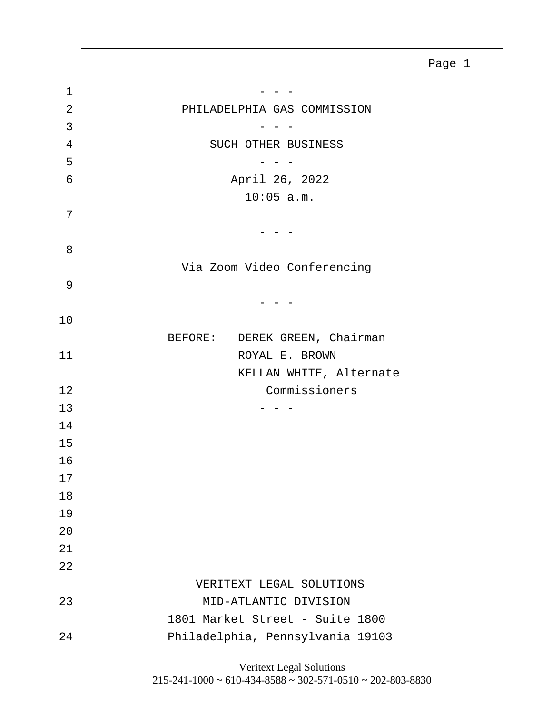<span id="page-0-0"></span>1 - - - 2 PHILADELPHIA GAS COMMISSION  $3$   $-$  - -4 SUCH OTHER BUSINESS  $5$   $-$  - -6 April 26, 2022 10:05 a.m.  $-$  Via Zoom Video Conferencing  $-$  BEFORE: DEREK GREEN, Chairman 11 ROYAL E. BROWN KELLAN WHITE, Alternate 12 Commissioners  $13$  - - - VERITEXT LEGAL SOLUTIONS 23 MID-ATLANTIC DIVISION

Page 1

7

8

9

10

19 20

21 22

24 Philadelphia, Pennsylvania 19103 Veritext Legal Solutions

1801 Market Street - Suite 1800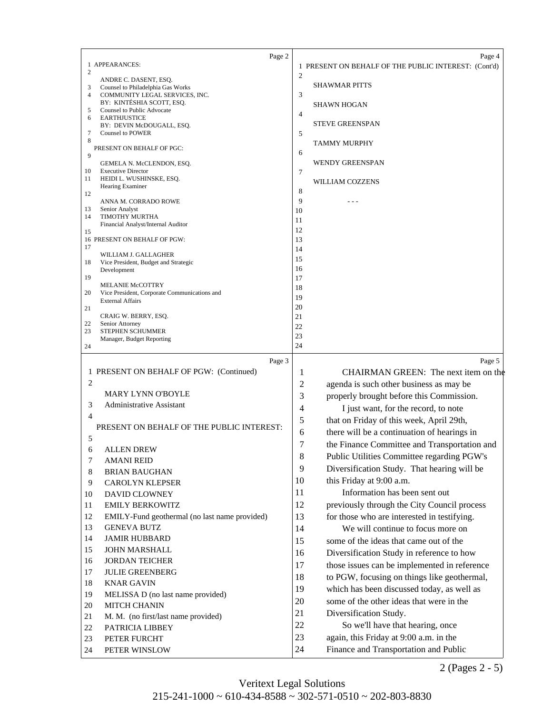<span id="page-1-0"></span>

| Page 2                                                                                     | Page 4                                               |
|--------------------------------------------------------------------------------------------|------------------------------------------------------|
| 1 APPEARANCES:<br>$\overline{2}$                                                           | 1 PRESENT ON BEHALF OF THE PUBLIC INTEREST: (Cont'd) |
| ANDRE C. DASENT, ESQ.                                                                      | $\overline{2}$                                       |
| 3<br>Counsel to Philadelphia Gas Works<br>$\overline{4}$<br>COMMUNITY LEGAL SERVICES, INC. | <b>SHAWMAR PITTS</b><br>3                            |
| BY: KINTÉSHIA SCOTT, ESQ.                                                                  | <b>SHAWN HOGAN</b>                                   |
| Counsel to Public Advocate<br>5<br>6<br><b>EARTHJUSTICE</b>                                | $\overline{4}$                                       |
| BY: DEVIN McDOUGALL, ESQ.                                                                  | <b>STEVE GREENSPAN</b>                               |
| 7<br><b>Counsel to POWER</b>                                                               | 5                                                    |
| 8<br>PRESENT ON BEHALF OF PGC:                                                             | TAMMY MURPHY                                         |
| 9                                                                                          | 6                                                    |
| GEMELA N. McCLENDON, ESQ.<br>10<br><b>Executive Director</b>                               | <b>WENDY GREENSPAN</b><br>7                          |
| HEIDI L. WUSHINSKE, ESQ.<br>11                                                             | WILLIAM COZZENS                                      |
| Hearing Examiner<br>12                                                                     | 8                                                    |
| ANNA M. CORRADO ROWE                                                                       | 9                                                    |
| 13<br>Senior Analyst<br>TIMOTHY MURTHA<br>14                                               | 10                                                   |
| Financial Analyst/Internal Auditor                                                         | 11                                                   |
| 15<br>16 PRESENT ON BEHALF OF PGW:                                                         | 12<br>13                                             |
| 17                                                                                         | 14                                                   |
| WILLIAM J. GALLAGHER<br>Vice President, Budget and Strategic<br>18                         | 15                                                   |
| Development                                                                                | 16                                                   |
| 19<br>MELANIE McCOTTRY                                                                     | 17                                                   |
| 20<br>Vice President, Corporate Communications and                                         | 18                                                   |
| <b>External Affairs</b><br>21                                                              | 19<br>20                                             |
| CRAIG W. BERRY, ESQ.                                                                       | 21                                                   |
| 22<br>Senior Attorney                                                                      | 22                                                   |
| 23<br>STEPHEN SCHUMMER<br>Manager, Budget Reporting                                        | 23                                                   |
| 24                                                                                         | 24                                                   |
| Page 3                                                                                     | Page 5                                               |
| 1 PRESENT ON BEHALF OF PGW: (Continued)                                                    | CHAIRMAN GREEN: The next item on the<br>1            |
| $\overline{2}$                                                                             | 2<br>agenda is such other business as may be         |
| <b>MARY LYNN O'BOYLE</b>                                                                   | 3<br>properly brought before this Commission.        |
| <b>Administrative Assistant</b><br>3                                                       | 4<br>I just want, for the record, to note            |
| 4                                                                                          | 5<br>that on Friday of this week, April 29th,        |
| PRESENT ON BEHALF OF THE PUBLIC INTEREST:                                                  | 6<br>there will be a continuation of hearings in     |
| 5                                                                                          | 7<br>the Finance Committee and Transportation and    |
| ALLEN DREW<br>6                                                                            | 8<br>Public Utilities Committee regarding PGW's      |
| $\tau$<br><b>AMANI REID</b>                                                                | 9<br>Diversification Study. That hearing will be     |
| 8<br><b>BRIAN BAUGHAN</b>                                                                  | this Friday at 9:00 a.m.<br>10                       |
| 9<br><b>CAROLYN KLEPSER</b>                                                                | Information has been sent out                        |
| 10<br><b>DAVID CLOWNEY</b>                                                                 | 11                                                   |
| 11<br><b>EMILY BERKOWITZ</b>                                                               | 12<br>previously through the City Council process    |
| 12<br>EMILY-Fund geothermal (no last name provided)                                        | 13<br>for those who are interested in testifying.    |
| 13<br><b>GENEVA BUTZ</b>                                                                   | We will continue to focus more on<br>14              |
| 14<br><b>JAMIR HUBBARD</b>                                                                 | some of the ideas that came out of the<br>15         |
| 15<br><b>JOHN MARSHALL</b>                                                                 | 16<br>Diversification Study in reference to how      |
| 16<br><b>JORDAN TEICHER</b>                                                                | those issues can be implemented in reference<br>17   |
| 17<br><b>JULIE GREENBERG</b>                                                               | to PGW, focusing on things like geothermal,<br>18    |
| 18<br><b>KNAR GAVIN</b>                                                                    | which has been discussed today, as well as<br>19     |
| 19<br>MELISSA D (no last name provided)                                                    | some of the other ideas that were in the<br>20       |
| 20<br><b>MITCH CHANIN</b>                                                                  | 21<br>Diversification Study.                         |
| M. M. (no first/last name provided)<br>21<br>22<br>PATRICIA LIBBEY                         | 22<br>So we'll have that hearing, once               |
| 23<br>PETER FURCHT                                                                         | 23<br>again, this Friday at 9:00 a.m. in the         |
|                                                                                            |                                                      |
| 24<br>PETER WINSLOW                                                                        | Finance and Transportation and Public<br>24          |

2 (Pages 2 - 5)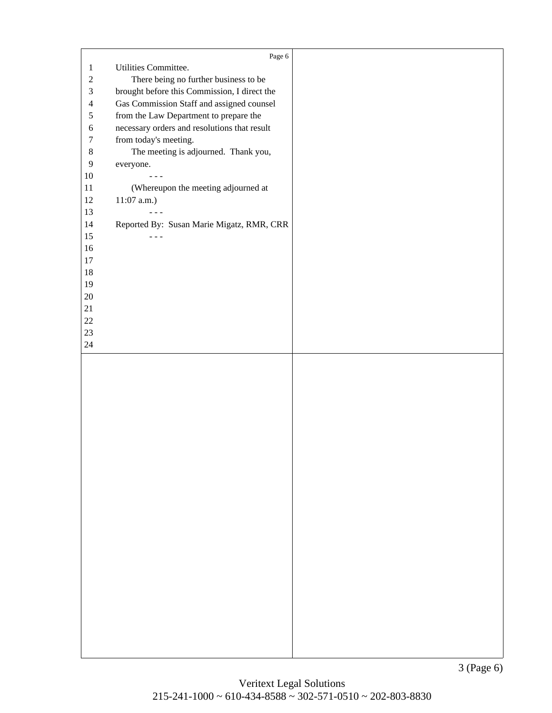<span id="page-2-0"></span>

|                  | Page 6                                       |  |
|------------------|----------------------------------------------|--|
| $\mathbf{1}$     | Utilities Committee.                         |  |
| $\sqrt{2}$       |                                              |  |
| $\mathfrak{Z}$   | There being no further business to be        |  |
|                  | brought before this Commission, I direct the |  |
| $\overline{4}$   | Gas Commission Staff and assigned counsel    |  |
| $\sqrt{5}$       | from the Law Department to prepare the       |  |
| $\sqrt{6}$       | necessary orders and resolutions that result |  |
| $\tau$           | from today's meeting.                        |  |
| $8\,$            | The meeting is adjourned. Thank you,         |  |
| $\boldsymbol{9}$ | everyone.                                    |  |
| $10\,$           |                                              |  |
| $11\,$           | (Whereupon the meeting adjourned at          |  |
| $12\,$           | $11:07$ a.m.)                                |  |
| 13               |                                              |  |
| $14$             | Reported By: Susan Marie Migatz, RMR, CRR    |  |
| 15               | $  -$                                        |  |
| 16               |                                              |  |
| $17\,$           |                                              |  |
| $18\,$           |                                              |  |
| 19               |                                              |  |
| $20\,$           |                                              |  |
| 21               |                                              |  |
| 22               |                                              |  |
| 23               |                                              |  |
| $24\,$           |                                              |  |
|                  |                                              |  |
|                  |                                              |  |
|                  |                                              |  |
|                  |                                              |  |
|                  |                                              |  |
|                  |                                              |  |
|                  |                                              |  |
|                  |                                              |  |
|                  |                                              |  |
|                  |                                              |  |
|                  |                                              |  |
|                  |                                              |  |
|                  |                                              |  |
|                  |                                              |  |
|                  |                                              |  |
|                  |                                              |  |
|                  |                                              |  |
|                  |                                              |  |
|                  |                                              |  |
|                  |                                              |  |
|                  |                                              |  |
|                  |                                              |  |
|                  |                                              |  |
|                  |                                              |  |
|                  |                                              |  |
|                  |                                              |  |
|                  |                                              |  |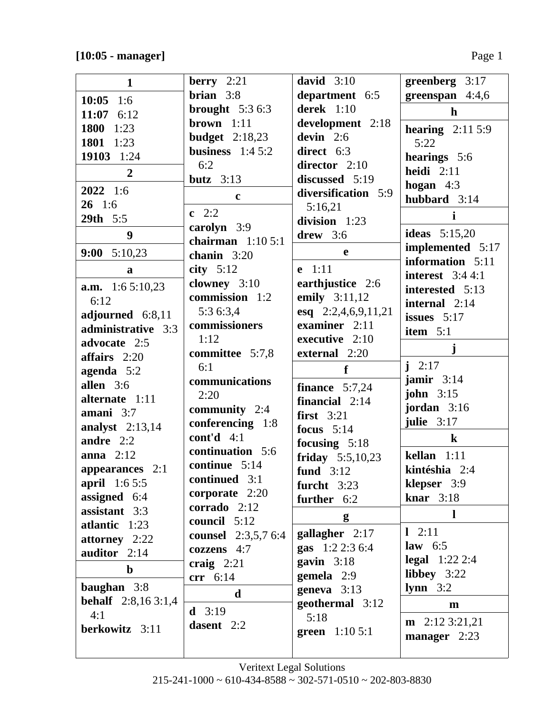| $\mathbf{1}$                | berry $2:21$               | david $3:10$           | greenberg 3:17               |
|-----------------------------|----------------------------|------------------------|------------------------------|
| $10:05$ 1:6                 | <b>brian</b> $3:8$         | department 6:5         | greenspan 4:4,6              |
| 11:07 $6:12$                | brought $5:36:3$           | derek $1:10$           | $\mathbf{h}$                 |
| 1800<br>1:23                | brown $1:11$               | development 2:18       |                              |
| 1801 1:23                   | <b>budget</b> 2:18,23      | devin $2:6$            | hearing $2:115:9$            |
|                             | business $1:45:2$          | direct 6:3             | 5:22                         |
| 19103 1:24                  | 6:2                        | director $2:10$        | hearings 5:6                 |
| $\overline{2}$              | butz $3:13$                | discussed 5:19         | heidi $2:11$                 |
| $2022 \quad 1:6$            | $\mathbf c$                | diversification 5:9    | hogan $4:3$                  |
| $26 \quad 1:6$              |                            | 5:16,21                | hubbard 3:14                 |
| 29th 5:5                    | $c \t2:2$                  | division 1:23          | i                            |
| 9                           | carolyn 3:9                | drew $3:6$             | ideas $5:15,20$              |
|                             | chairman $1:105:1$         |                        | implemented 5:17             |
| 9:00 $5:10,23$              | chanin $3:20$              | e                      | information 5:11             |
| a                           | city $5:12$                | $e$ 1:11               | interest $3:44:1$            |
| <b>a.m.</b> 1:6 5:10,23     | clowney 3:10               | earthjustice 2:6       | interested 5:13              |
| 6:12                        | commission 1:2             | emily 3:11,12          | internal $2:14$              |
| adjourned 6:8,11            | 5:3 6:3,4                  | esq 2:2,4,6,9,11,21    | issues $5:17$                |
| administrative 3:3          | commissioners              | examiner 2:11          | item $5:1$                   |
| advocate 2:5                | 1:12                       | executive 2:10         |                              |
| affairs $2:20$              | committee 5:7,8            | external 2:20          | $\mathbf{j}$                 |
| agenda 5:2                  | 6:1                        | f                      | $i \t2:17$                   |
| allen $3:6$                 | communications             | finance $5:7,24$       | jamir $3:14$                 |
| alternate 1:11              | 2:20                       | financial $2:14$       | john $3:15$                  |
| amani $3:7$                 | community $2:4$            | first $3:21$           | jordan 3:16                  |
| analyst $2:13,14$           | conferencing 1:8           | focus $5:14$           | julie $3:17$                 |
| andre $2:2$                 | cont'd $4:1$               | focusing $5:18$        | $\bf k$                      |
| anna $2:12$                 | continuation 5:6           | friday $5:5,10,23$     | kellan $1:11$                |
| appearances 2:1             | continue 5:14              | fund $3:12$            | kintéshia 2:4                |
| <b>april</b> $1:65:5$       | continued 3:1              | furcht $3:23$          | klepser 3:9                  |
| assigned 6:4                | corporate 2:20             | further 6:2            | knar $3:18$                  |
| assistant 3:3               | corrado 2:12               |                        | $\mathbf l$                  |
| atlantic 1:23               | council 5:12               | g                      |                              |
| attorney 2:22               | <b>counsel</b> 2:3,5,7 6:4 | gallagher 2:17         | $1 \t2:11$                   |
| auditor 2:14                | cozzens 4:7                | gas $1:22:36:4$        | law $6:5$                    |
| $\mathbf b$                 | craig $2:21$               | gavin $3:18$           | <b>legal</b> $1:22\,2:4$     |
|                             | $\text{err}$ 6:14          | gemela $2:9$           | libbey $3:22$                |
| baughan $3:8$               | d                          | geneva $3:13$          | $lymn$ 3:2                   |
| <b>behalf</b> $2:8,163:1,4$ | <b>d</b> $3:19$            | geothermal 3:12        | m                            |
| 4:1                         | dasent 2:2                 | 5:18                   | $m \quad 2:12 \quad 3:21,21$ |
| berkowitz 3:11              |                            | <b>green</b> $1:105:1$ | manager $2:23$               |
|                             |                            |                        |                              |